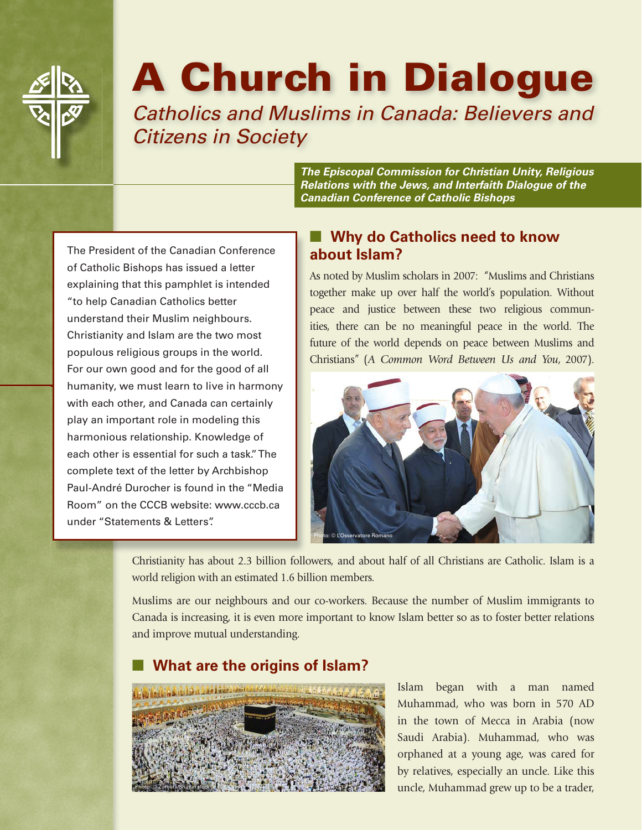

**Catholics and Muslims in Canada: Believers and** Citizens in Society

> *The Episcopal Commission for Christian Unity, Religious Relations with the Jews, and Interfaith Dialogue of the Canadian Conference of Catholic Bishops*

The President of the Canadian Conference of Catholic Bishops has issued a letter explaining that this pamphlet is intended "to help Canadian Catholics better understand their Muslim neighbours. Christianity and Islam are the two most populous religious groups in the world. For our own good and for the good of all humanity, we must learn to live in harmony with each other, and Canada can certainly play an important role in modeling this harmonious relationship. Knowledge of each other is essential for such a task." The complete text of the letter by Archbishop Paul-André Durocher is found in the "Media Room" on the CCCB website: www.cccb.ca under "Statements & Letters".

# ■ Why do Catholics need to know **about Islam?**

As noted by Muslim scholars in 2007: "Muslims and Christians together make up over half the world's population. Without peace and justice between these two religious communities, there can be no meaningful peace in the world. The future of the world depends on peace between Muslims and Christians" (*A Common Word Between Us and You*, 2007).



Christianity has about 2.3 billion followers, and about half of all Christians are Catholic. Islam is a world religion with an estimated 1.6 billion members.

Muslims are our neighbours and our co-workers. Because the number of Muslim immigrants to Canada is increasing, it is even more important to know Islam better so as to foster better relations and improve mutual understanding.

# ■ What are the origins of Islam?



Islam began with a man named Muhammad, who was born in 570 AD in the town of Mecca in Arabia (now Saudi Arabia). Muhammad, who was orphaned at a young age, was cared for by relatives, especially an uncle. Like this uncle, Muhammad grew up to be a trader,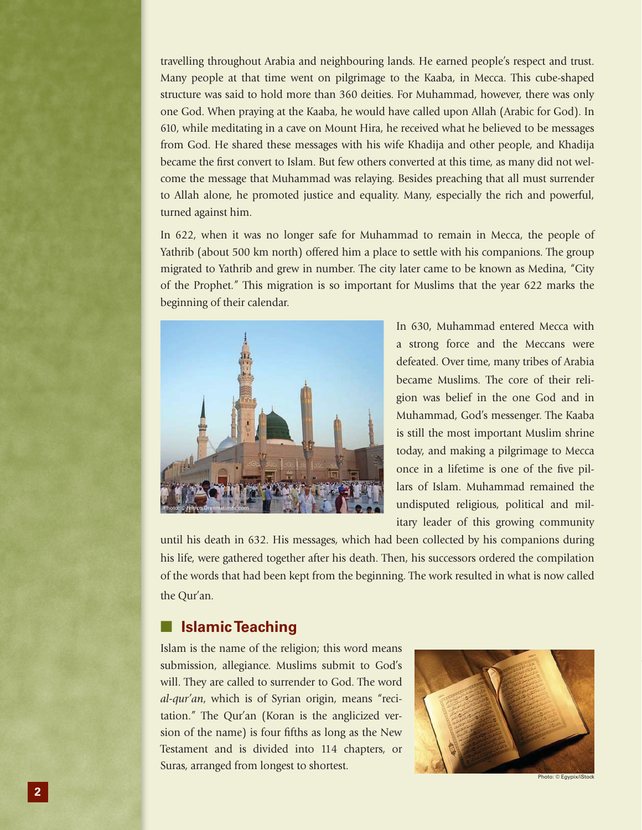travelling throughout Arabia and neighbouring lands. He earned people's respect and trust. Many people at that time went on pilgrimage to the Kaaba, in Mecca. This cube-shaped structure was said to hold more than 360 deities. For Muhammad, however, there was only one God. When praying at the Kaaba, he would have called upon Allah (Arabic for God). In 610, while meditating in a cave on Mount Hira, he received what he believed to be messages from God. He shared these messages with his wife Khadija and other people, and Khadija became the first convert to Islam. But few others converted at this time, as many did not welcome the message that Muhammad was relaying. Besides preaching that all must surrender to Allah alone, he promoted justice and equality. Many, especially the rich and powerful, turned against him.

In 622, when it was no longer safe for Muhammad to remain in Mecca, the people of Yathrib (about 500 km north) offered him a place to settle with his companions. The group migrated to Yathrib and grew in number. The city later came to be known as Medina, "City of the Prophet." This migration is so important for Muslims that the year 622 marks the beginning of their calendar.



In 630, Muhammad entered Mecca with a strong force and the Meccans were defeated. Over time, many tribes of Arabia became Muslims. The core of their religion was belief in the one God and in Muhammad, God's messenger. The Kaaba is still the most important Muslim shrine today, and making a pilgrimage to Mecca once in a lifetime is one of the five pillars of Islam. Muhammad remained the undisputed religious, political and military leader of this growing community

until his death in 632. His messages, which had been collected by his companions during his life, were gathered together after his death. Then, his successors ordered the compilation of the words that had been kept from the beginning. The work resulted in what is now called the Qur'an.

## ■ **Islamic Teaching**

Islam is the name of the religion; this word means submission, allegiance. Muslims submit to God's will. They are called to surrender to God. The word *al-qur'an*, which is of Syrian origin, means "recitation." The Qur'an (Koran is the anglicized version of the name) is four fifths as long as the New Testament and is divided into 114 chapters, or Suras, arranged from longest to shortest.

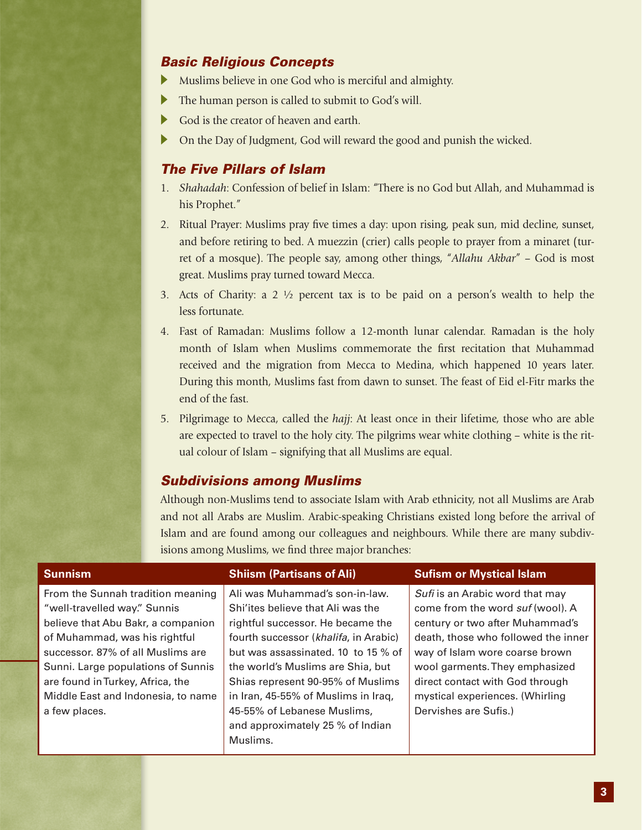## *Basic Religious Concepts*

- $\blacktriangleright$  Muslims believe in one God who is merciful and almighty.
- $\blacktriangleright$  The human person is called to submit to God's will.
- $\triangleright$  God is the creator of heaven and earth.
- If On the Day of Judgment, God will reward the good and punish the wicked.

# *The Five Pillars of Islam*

- 1. *Shahadah*: Confession of belief in Islam: "There is no God but Allah, and Muhammad is his Prophet."
- 2. Ritual Prayer: Muslims pray five times a day: upon rising, peak sun, mid decline, sunset, and before retiring to bed. A muezzin (crier) calls people to prayer from a minaret (turret of a mosque). The people say, among other things, "*Allahu Akbar*" – God is most great. Muslims pray turned toward Mecca.
- 3. Acts of Charity: a 2  $\frac{1}{2}$  percent tax is to be paid on a person's wealth to help the less fortunate.
- 4. Fast of Ramadan: Muslims follow a 12-month lunar calendar. Ramadan is the holy month of Islam when Muslims commemorate the first recitation that Muhammad received and the migration from Mecca to Medina, which happened 10 years later. During this month, Muslims fast from dawn to sunset. The feast of Eid el-Fitr marks the end of the fast.
- 5. Pilgrimage to Mecca, called the *hajj*: At least once in their lifetime, those who are able are expected to travel to the holy city. The pilgrims wear white clothing – white is the ritual colour of Islam – signifying that all Muslims are equal.

## *Subdivisions among Muslims*

Although non-Muslims tend to associate Islam with Arab ethnicity, not all Muslims are Arab and not all Arabs are Muslim. Arabic-speaking Christians existed long before the arrival of Islam and are found among our colleagues and neighbours. While there are many subdivisions among Muslims, we find three major branches:

From the Sunnah tradition meaning "well-travelled way." Sunnis believe that Abu Bakr, a companion of Muhammad, was his rightful successor. 87% of all Muslims are Sunni. Large populations of Sunnis are found in Turkey, Africa, the Middle East and Indonesia, to name a few places.

Ali was Muhammad's son-in-law. Shi'ites believe that Ali was the rightful successor. He became the fourth successor (khalifa, in Arabic) but was assassinated. 10 to 15 % of the world's Muslims are Shia, but Shias represent 90-95% of Muslims in Iran, 45-55% of Muslims in Iraq, 45-55% of Lebanese Muslims, and approximately 25 % of Indian Muslims.

### **Sunnism Sunnism Construction Shiism (Partisans of Ali)** Sufism or Mystical Islam

Sufi is an Arabic word that may come from the word suf (wool). A century or two after Muhammad's death, those who followed the inner way of Islam wore coarse brown wool garments. They emphasized direct contact with God through mystical experiences. (Whirling Dervishes are Sufis.)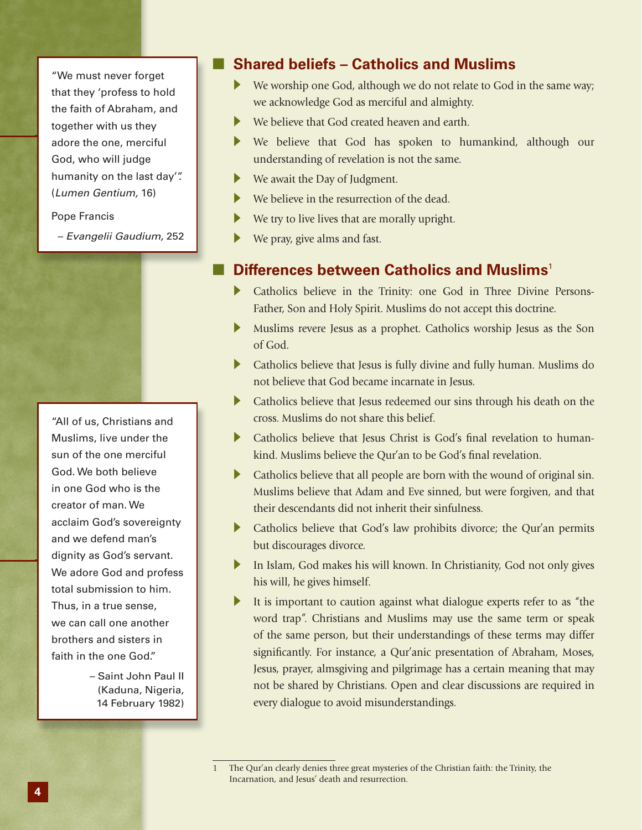"We must never forget that they 'profess to hold the faith of Abraham, and together with us they adore the one, merciful God, who will judge humanity on the last day'". (Lumen Gentium, 16)

### Pope Francis

– Evangelii Gaudium, 252

"All of us, Christians and Muslims, live under the sun of the one merciful God. We both believe in one God who is the creator of man. We acclaim God's sovereignty and we defend man's dignity as God's servant. We adore God and profess total submission to him. Thus, in a true sense, we can call one another brothers and sisters in faith in the one God."

> – Saint John Paul II (Kaduna, Nigeria, 14 February 1982)

# **Shared beliefs – Catholics and Muslims**

- $\blacktriangleright$  We worship one God, although we do not relate to God in the same way; we acknowledge God as merciful and almighty.
- $\blacktriangleright$  We believe that God created heaven and earth.
- $\blacktriangleright$  We believe that God has spoken to humankind, although our understanding of revelation is not the same.
- $\blacktriangleright$  We await the Day of Judgment.
- $\blacktriangleright$  We believe in the resurrection of the dead.
- $\blacktriangleright$  We try to live lives that are morally upright.
- $\blacktriangleright$  We pray, give alms and fast.

## **Differences between Catholics and Muslims**<sup>1</sup>

- Catholics believe in the Trinity: one God in Three Divine Persons-Father, Son and Holy Spirit. Muslims do not accept this doctrine.
- X Muslims revere Jesus as a prophet. Catholics worship Jesus as the Son of God.
- $\blacktriangleright$  Catholics believe that Jesus is fully divine and fully human. Muslims do not believe that God became incarnate in Jesus.
- Catholics believe that Jesus redeemed our sins through his death on the cross. Muslims do not share this belief.
- $\blacktriangleright$  Catholics believe that Jesus Christ is God's final revelation to humankind. Muslims believe the Qur'an to be God's final revelation.
- $\triangleright$  Catholics believe that all people are born with the wound of original sin. Muslims believe that Adam and Eve sinned, but were forgiven, and that their descendants did not inherit their sinfulness.
- $\blacktriangleright$  Catholics believe that God's law prohibits divorce; the Qur'an permits but discourages divorce.
- In Islam, God makes his will known. In Christianity, God not only gives his will, he gives himself.
- It is important to caution against what dialogue experts refer to as "the word trap". Christians and Muslims may use the same term or speak of the same person, but their understandings of these terms may differ significantly. For instance, a Qur'anic presentation of Abraham, Moses, Jesus, prayer, almsgiving and pilgrimage has a certain meaning that may not be shared by Christians. Open and clear discussions are required in every dialogue to avoid misunderstandings.

<sup>1</sup> The Qur'an clearly denies three great mysteries of the Christian faith: the Trinity, the Incarnation, and Jesus' death and resurrection.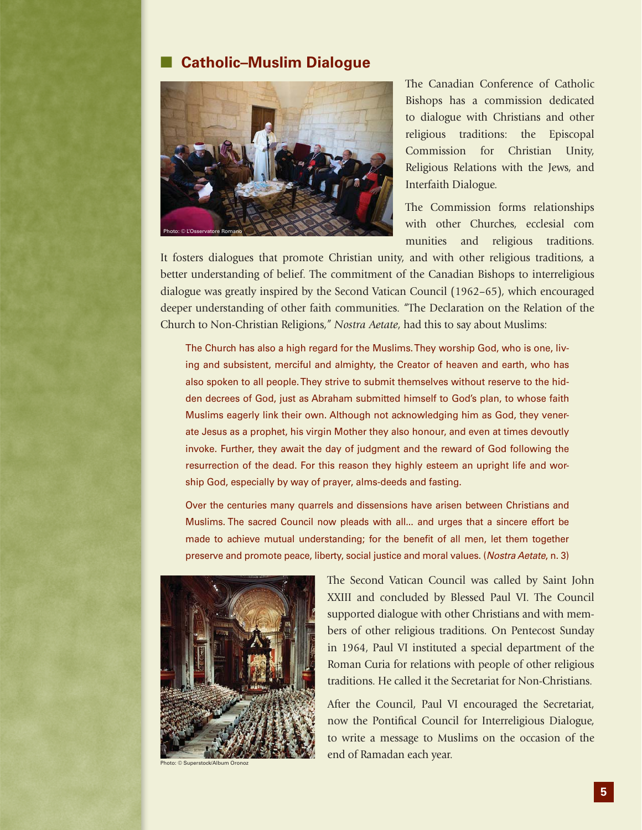## ■ **Catholic–Muslim Dialogue**



The Canadian Conference of Catholic Bishops has a commission dedicated to dialogue with Christians and other religious traditions: the Episcopal Commission for Christian Unity, Religious Relations with the Jews, and Interfaith Dialogue.

The Commission forms relationships with other Churches, ecclesial com munities and religious traditions.

It fosters dialogues that promote Christian unity, and with other religious traditions, a better understanding of belief. The commitment of the Canadian Bishops to interreligious dialogue was greatly inspired by the Second Vatican Council (1962–65), which encouraged deeper understanding of other faith communities. "The Declaration on the Relation of the Church to Non-Christian Religions," *Nostra Aetate*, had this to say about Muslims:

The Church has also a high regard for the Muslims. They worship God, who is one, living and subsistent, merciful and almighty, the Creator of heaven and earth, who has also spoken to all people. They strive to submit themselves without reserve to the hidden decrees of God, just as Abraham submitted himself to God's plan, to whose faith Muslims eagerly link their own. Although not acknowledging him as God, they venerate Jesus as a prophet, his virgin Mother they also honour, and even at times devoutly invoke. Further, they await the day of judgment and the reward of God following the resurrection of the dead. For this reason they highly esteem an upright life and worship God, especially by way of prayer, alms-deeds and fasting.

Over the centuries many quarrels and dissensions have arisen between Christians and Muslims. The sacred Council now pleads with all... and urges that a sincere effort be made to achieve mutual understanding; for the benefit of all men, let them together preserve and promote peace, liberty, social justice and moral values. (Nostra Aetate, n. 3)



Photo: © Superstock/Album Oronoz

The Second Vatican Council was called by Saint John XXIII and concluded by Blessed Paul VI. The Council supported dialogue with other Christians and with members of other religious traditions. On Pentecost Sunday in 1964, Paul VI instituted a special department of the Roman Curia for relations with people of other religious traditions. He called it the Secretariat for Non-Christians.

After the Council, Paul VI encouraged the Secretariat, now the Pontifical Council for Interreligious Dialogue, to write a message to Muslims on the occasion of the end of Ramadan each year.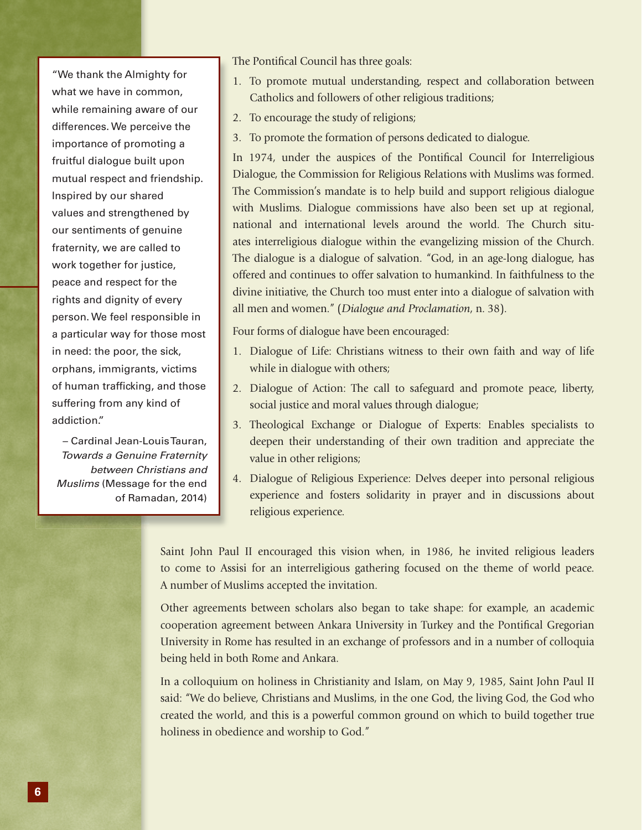"We thank the Almighty for what we have in common, while remaining aware of our differences. We perceive the importance of promoting a fruitful dialogue built upon mutual respect and friendship. Inspired by our shared values and strengthened by our sentiments of genuine fraternity, we are called to work together for justice, peace and respect for the rights and dignity of every person. We feel responsible in a particular way for those most in need: the poor, the sick, orphans, immigrants, victims of human trafficking, and those suffering from any kind of addiction."

– Cardinal Jean-Louis Tauran, Towards a Genuine Fraternity between Christians and Muslims (Message for the end of Ramadan, 2014)

The Pontifical Council has three goals:

- 1. To promote mutual understanding, respect and collaboration between Catholics and followers of other religious traditions;
- 2. To encourage the study of religions;
- 3. To promote the formation of persons dedicated to dialogue.

In 1974, under the auspices of the Pontifical Council for Interreligious Dialogue, the Commission for Religious Relations with Muslims was formed. The Commission's mandate is to help build and support religious dialogue with Muslims. Dialogue commissions have also been set up at regional, national and international levels around the world. The Church situates interreligious dialogue within the evangelizing mission of the Church. The dialogue is a dialogue of salvation. "God, in an age-long dialogue, has offered and continues to offer salvation to humankind. In faithfulness to the divine initiative, the Church too must enter into a dialogue of salvation with all men and women." (*Dialogue and Proclamation*, n. 38).

Four forms of dialogue have been encouraged:

- 1. Dialogue of Life: Christians witness to their own faith and way of life while in dialogue with others;
- 2. Dialogue of Action: The call to safeguard and promote peace, liberty, social justice and moral values through dialogue;
- 3. Theological Exchange or Dialogue of Experts: Enables specialists to deepen their understanding of their own tradition and appreciate the value in other religions;
- 4. Dialogue of Religious Experience: Delves deeper into personal religious experience and fosters solidarity in prayer and in discussions about religious experience.

Saint John Paul II encouraged this vision when, in 1986, he invited religious leaders to come to Assisi for an interreligious gathering focused on the theme of world peace. A number of Muslims accepted the invitation.

Other agreements between scholars also began to take shape: for example, an academic cooperation agreement between Ankara University in Turkey and the Pontifical Gregorian University in Rome has resulted in an exchange of professors and in a number of colloquia being held in both Rome and Ankara.

In a colloquium on holiness in Christianity and Islam, on May 9, 1985, Saint John Paul II said: "We do believe, Christians and Muslims, in the one God, the living God, the God who created the world, and this is a powerful common ground on which to build together true holiness in obedience and worship to God."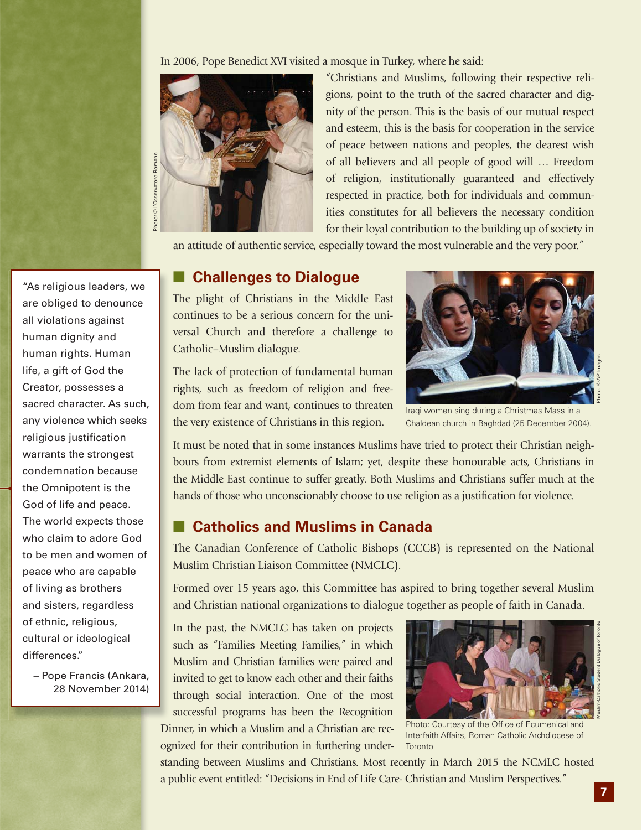In 2006, Pope Benedict XVI visited a mosque in Turkey, where he said:



"Christians and Muslims, following their respective religions, point to the truth of the sacred character and dignity of the person. This is the basis of our mutual respect and esteem, this is the basis for cooperation in the service of peace between nations and peoples, the dearest wish of all believers and all people of good will … Freedom of religion, institutionally guaranteed and effectively respected in practice, both for individuals and communities constitutes for all believers the necessary condition for their loyal contribution to the building up of society in

an attitude of authentic service, especially toward the most vulnerable and the very poor."

# ■ **Challenges to Dialogue**

The plight of Christians in the Middle East continues to be a serious concern for the universal Church and therefore a challenge to Catholic–Muslim dialogue.



Iraqi women sing during a Christmas Mass in a Chaldean church in Baghdad (25 December 2004).

The lack of protection of fundamental human rights, such as freedom of religion and freedom from fear and want, continues to threaten the very existence of Christians in this region.

It must be noted that in some instances Muslims have tried to protect their Christian neighbours from extremist elements of Islam; yet, despite these honourable acts, Christians in the Middle East continue to suffer greatly. Both Muslims and Christians suffer much at the hands of those who unconscionably choose to use religion as a justification for violence.

## ■ **Catholics and Muslims in Canada**

The Canadian Conference of Catholic Bishops (CCCB) is represented on the National Muslim Christian Liaison Committee (NMCLC).

Formed over 15 years ago, this Committee has aspired to bring together several Muslim and Christian national organizations to dialogue together as people of faith in Canada.

In the past, the NMCLC has taken on projects such as "Families Meeting Families," in which Muslim and Christian families were paired and invited to get to know each other and their faiths through social interaction. One of the most successful programs has been the Recognition Dinner, in which a Muslim and a Christian are recognized for their contribution in furthering under-



Photo: Courtesy of the Office of Ecumenical and Interfaith Affairs, Roman Catholic Archdiocese of **Toronto** 

standing between Muslims and Christians. Most recently in March 2015 the NCMLC hosted a public event entitled: "Decisions in End of Life Care- Christian and Muslim Perspectives."

"As religious leaders, we are obliged to denounce all violations against human dignity and human rights. Human life, a gift of God the Creator, possesses a sacred character. As such, any violence which seeks religious justification warrants the strongest condemnation because the Omnipotent is the God of life and peace. The world expects those who claim to adore God to be men and women of peace who are capable of living as brothers and sisters, regardless of ethnic, religious, cultural or ideological differences."

– Pope Francis (Ankara, 28 November 2014)